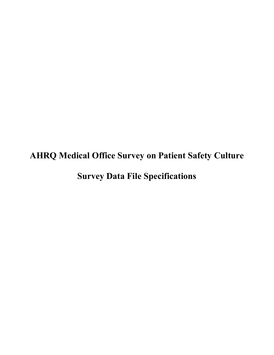# **AHRQ Medical Office Survey on Patient Safety Culture Survey Data File Specifications**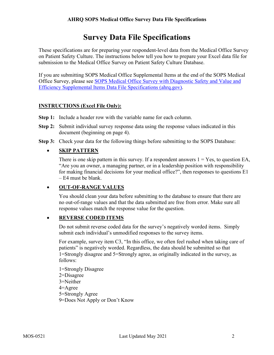## **Survey Data File Specifications**

These specifications are for preparing your respondent-level data from the Medical Office Survey on Patient Safety Culture. The instructions below tell you how to prepare your Excel data file for submission to the Medical Office Survey on Patient Safety Culture Database.

If you are submitting SOPS Medical Office Supplemental Items at the end of the SOPS Medical Office Survey, please see [SOPS Medical Office Survey with Diagnostic Safety and Value and](https://www.ahrq.gov/sites/default/files/wysiwyg/sops/surveys/medical-office/mo-survey-dx-ve-specifications.pdf)  [Efficiency Supplemental Items Data File Specifications \(ahrq.gov\).](https://www.ahrq.gov/sites/default/files/wysiwyg/sops/surveys/medical-office/mo-survey-dx-ve-specifications.pdf)

#### **INSTRUCTIONS (Excel File Only):**

- **Step 1:** Include a header row with the variable name for each column.
- **Step 2:** Submit individual survey response data using the response values indicated in this document (beginning on page 4).
- **Step 3:** Check your data for the following things before submitting to the SOPS Database:

#### • **SKIP PATTERN**

There is one skip pattern in this survey. If a respondent answers  $1 = Yes$ , to question EA, "Are you an owner, a managing partner, or in a leadership position with responsibility for making financial decisions for your medical office?", then responses to questions E1 – E4 must be blank.

#### • **OUT-OF-RANGE VALUES**

You should clean your data before submitting to the database to ensure that there are no out-of-range values and that the data submitted are free from error. Make sure all response values match the response value for the question.

#### • **REVERSE CODED ITEMS**

Do not submit reverse coded data for the survey's negatively worded items. Simply submit each individual's unmodified responses to the survey items.

For example, survey item C3, "In this office, we often feel rushed when taking care of patients" is negatively worded. Regardless, the data should be submitted so that 1=Strongly disagree and 5=Strongly agree, as originally indicated in the survey, as follows:

1=Strongly Disagree 2=Disagree 3=Neither 4=Agree 5=Strongly Agree 9=Does Not Apply or Don't Know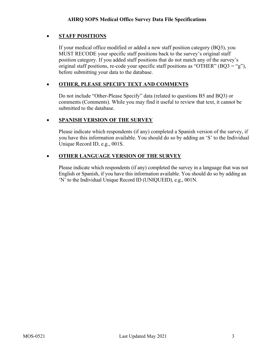#### • **STAFF POSITIONS**

If your medical office modified or added a new staff position category (BQ3), you MUST RECODE your specific staff positions back to the survey's original staff position category. If you added staff positions that do not match any of the survey's original staff positions, re-code your specific staff positions as "OTHER" (BQ3 = "g"), before submitting your data to the database.

#### • **OTHER, PLEASE SPECIFY TEXT AND COMMENTS**

Do not include "Other-Please Specify" data (related to questions B5 and BQ3) or comments (Comments). While you may find it useful to review that text, it cannot be submitted to the database.

#### • **SPANISH VERSION OF THE SURVEY**

Please indicate which respondents (if any) completed a Spanish version of the survey, if you have this information available. You should do so by adding an 'S' to the Individual Unique Record ID, e.g., 001S.

#### • **OTHER LANGUAGE VERSION OF THE SURVEY**

Please indicate which respondents (if any) completed the survey in a language that was not English or Spanish, if you have this information available. You should do so by adding an 'N' to the Individual Unique Record ID (UNIQUEID), e.g., 001N.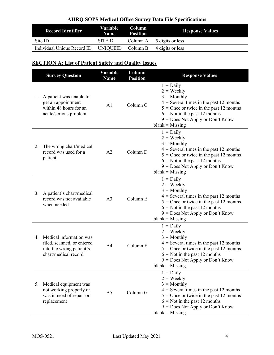| <b>Record Identifier</b>    | Variable<br><b>Name</b> | Column<br><b>Position</b> | <b>Response Values</b>                |
|-----------------------------|-------------------------|---------------------------|---------------------------------------|
| Site ID                     | <b>SITEID</b>           |                           | Column A $\frac{5}{2}$ digits or less |
| Individual Unique Record ID | UNIOUEID                | Column B                  | 4 digits or less                      |

## **SECTION A: List of Patient Safety and Quality Issues**

|    | <b>Survey Question</b>                                                                                       | Variable<br><b>Name</b> | Column<br><b>Position</b> | <b>Response Values</b>                                                                                                                                                                                                                      |
|----|--------------------------------------------------------------------------------------------------------------|-------------------------|---------------------------|---------------------------------------------------------------------------------------------------------------------------------------------------------------------------------------------------------------------------------------------|
| 1. | A patient was unable to<br>get an appointment<br>within 48 hours for an<br>acute/serious problem             | A <sub>1</sub>          | Column <sub>C</sub>       | $1 = Daily$<br>$2 = \text{Weakly}$<br>$3 =$ Monthly<br>$4$ = Several times in the past 12 months<br>$5 =$ Once or twice in the past 12 months<br>$6 =$ Not in the past 12 months<br>$9 = Does Not Apply or Don't Know$<br>$blank = Missing$ |
| 2. | The wrong chart/medical<br>record was used for a<br>patient                                                  | A2                      | Column D                  | $1 = Daily$<br>$2 = \text{Weakly}$<br>$3 =$ Monthly<br>$4$ = Several times in the past 12 months<br>$5$ = Once or twice in the past 12 months<br>$6 =$ Not in the past 12 months<br>$9 = Does Not Apply or Don't Know$<br>$blank = Missing$ |
| 3. | A patient's chart/medical<br>record was not available<br>when needed                                         | A <sub>3</sub>          | Column E                  | $1 = Daily$<br>$2 = \text{Weakly}$<br>$3 =$ Monthly<br>$4$ = Several times in the past 12 months<br>$5 =$ Once or twice in the past 12 months<br>$6 =$ Not in the past 12 months<br>9 = Does Not Apply or Don't Know<br>$blank = Missing$   |
|    | 4. Medical information was<br>filed, scanned, or entered<br>into the wrong patient's<br>chart/medical record | A <sub>4</sub>          | Column F                  | $1 = Daily$<br>$2 = \text{Weakly}$<br>$3 =$ Monthly<br>$4$ = Several times in the past 12 months<br>$5 =$ Once or twice in the past 12 months<br>$6 =$ Not in the past 12 months<br>9 = Does Not Apply or Don't Know<br>$blank = Missing$   |
| 5. | Medical equipment was<br>not working properly or<br>was in need of repair or<br>replacement                  | A <sub>5</sub>          | Column G                  | $1 = Daily$<br>$2 = \text{Weakly}$<br>$3 =$ Monthly<br>$4$ = Several times in the past 12 months<br>$5 =$ Once or twice in the past 12 months<br>$6 =$ Not in the past 12 months<br>$9 = Does Not Apply or Don't Know$<br>$blank = Missing$ |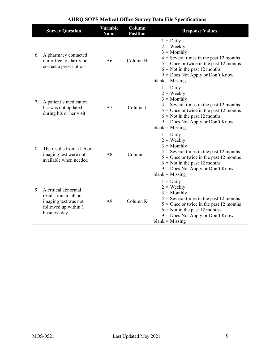|    | <b>Survey Question</b>                                                                                         | Variable<br><b>Name</b> | Column<br><b>Position</b> | <b>Response Values</b>                                                                                                                                                                                                                      |
|----|----------------------------------------------------------------------------------------------------------------|-------------------------|---------------------------|---------------------------------------------------------------------------------------------------------------------------------------------------------------------------------------------------------------------------------------------|
|    | 6. A pharmacy contacted<br>our office to clarify or<br>correct a prescription                                  | A6                      | Column H                  | $1 = Daily$<br>$2 = \text{Weakly}$<br>$3 =$ Monthly<br>$4$ = Several times in the past 12 months<br>$5 =$ Once or twice in the past 12 months<br>$6 =$ Not in the past 12 months<br>$9 = Does Not Apply or Don't Know$<br>$blank = Missing$ |
| 7. | A patient's medication<br>list was not updated<br>during his or her visit                                      | A7                      | Column I                  | $1 = Daily$<br>$2 = \text{Weakly}$<br>$3 =$ Monthly<br>$4$ = Several times in the past 12 months<br>$5 =$ Once or twice in the past 12 months<br>$6 =$ Not in the past 12 months<br>$9 = Does Not Apply or Don't Know$<br>$blank = Missing$ |
| 8. | The results from a lab or<br>imaging test were not<br>available when needed                                    | A8                      | Column J                  | $1 = Daily$<br>$2 = \text{Weakly}$<br>$3 =$ Monthly<br>$4$ = Several times in the past 12 months<br>$5 =$ Once or twice in the past 12 months<br>$6 =$ Not in the past 12 months<br>$9 = Does Not Apply or Don't Know$<br>$blank = Missing$ |
|    | 9. A critical abnormal<br>result from a lab or<br>imaging test was not<br>followed up within 1<br>business day | A <sup>9</sup>          | Column K                  | $1 = Daily$<br>$2 = \text{Weakly}$<br>$3 =$ Monthly<br>$4$ = Several times in the past 12 months<br>$5 =$ Once or twice in the past 12 months<br>$6 =$ Not in the past 12 months<br>$9 = Does Not Apply or Don't Know$<br>$blank = Missing$ |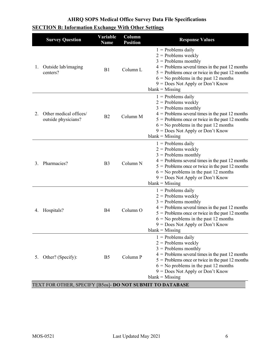|  |  |  |  |  | <b>SECTION B: Information Exchange With Other Settings</b> |  |  |  |  |  |
|--|--|--|--|--|------------------------------------------------------------|--|--|--|--|--|
|--|--|--|--|--|------------------------------------------------------------|--|--|--|--|--|

|    | <b>Survey Question</b>                        | Variable<br><b>Name</b> | Column<br><b>Position</b> | <b>Response Values</b>                                                                                                                                                                                                                                                                    |
|----|-----------------------------------------------|-------------------------|---------------------------|-------------------------------------------------------------------------------------------------------------------------------------------------------------------------------------------------------------------------------------------------------------------------------------------|
| 1. | Outside lab/imaging<br>centers?               | B1                      | Column <sub>L</sub>       | $1$ = Problems daily<br>$2$ = Problems weekly<br>$3$ = Problems monthly<br>$4$ = Problems several times in the past 12 months<br>$5$ = Problems once or twice in the past 12 months<br>$6 =$ No problems in the past 12 months<br>9 = Does Not Apply or Don't Know<br>$blank = Missing$   |
| 2. | Other medical offices/<br>outside physicians? | B <sub>2</sub>          | Column M                  | $1$ = Problems daily<br>$2$ = Problems weekly<br>$3$ = Problems monthly<br>$4$ = Problems several times in the past 12 months<br>$5$ = Problems once or twice in the past 12 months<br>$6 =$ No problems in the past 12 months<br>$9 = Does Not Apply or Don't Know$<br>$blank = Missing$ |
| 3. | Pharmacies?                                   | B <sub>3</sub>          | Column N                  | $1$ = Problems daily<br>$2$ = Problems weekly<br>$3$ = Problems monthly<br>$4$ = Problems several times in the past 12 months<br>$5$ = Problems once or twice in the past 12 months<br>$6 =$ No problems in the past 12 months<br>$9 = Does Not Apply or Don't Know$<br>$blank = Missing$ |
| 4. | Hospitals?                                    | B4                      | Column O                  | $1$ = Problems daily<br>$2$ = Problems weekly<br>$3$ = Problems monthly<br>$4$ = Problems several times in the past 12 months<br>$5$ = Problems once or twice in the past 12 months<br>$6 =$ No problems in the past 12 months<br>$9 = Does Not Apply or Don't Know$<br>$blank = Missing$ |
| 5. | Other? (Specify):                             | B <sub>5</sub>          | Column P                  | $1$ = Problems daily<br>$2$ = Problems weekly<br>$3$ = Problems monthly<br>$4$ = Problems several times in the past 12 months<br>$5$ = Problems once or twice in the past 12 months<br>$6 =$ No problems in the past 12 months<br>$9 = Does Not Apply or Don't Know$<br>$blank = Missing$ |

#### TEXT FOR OTHER, SPECIFY [B5os]- **DO NOT SUBMIT TO DATABASE**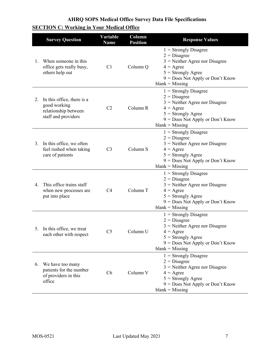|  | <b>SECTION C: Working in Your Medical Office</b> |  |  |  |  |
|--|--------------------------------------------------|--|--|--|--|
|--|--------------------------------------------------|--|--|--|--|

|             | <b>Survey Question</b>                                                                    | Variable<br><b>Name</b> | Column<br><b>Position</b> | <b>Response Values</b>                                                                                                                                                                 |
|-------------|-------------------------------------------------------------------------------------------|-------------------------|---------------------------|----------------------------------------------------------------------------------------------------------------------------------------------------------------------------------------|
| $1_{\cdot}$ | When someone in this<br>office gets really busy,<br>others help out                       | C1                      | Column Q                  | $1 =$ Strongly Disagree<br>$2 = Disagree$<br>$3$ = Neither Agree nor Disagree<br>$4 = \text{Agree}$<br>$5 =$ Strongly Agree<br>$9 = Does Not Apply or Don't Know$<br>$blank = Missing$ |
| 2.          | In this office, there is a<br>good working<br>relationship between<br>staff and providers | C2                      | Column R                  | $1 =$ Strongly Disagree<br>$2 = Disagree$<br>$3$ = Neither Agree nor Disagree<br>$4 = \text{Agree}$<br>$5 =$ Strongly Agree<br>$9 = Does Not Apply or Don't Know$<br>$blank = Missing$ |
| 3.          | In this office, we often<br>feel rushed when taking<br>care of patients                   | C <sub>3</sub>          | Column S                  | $1 =$ Strongly Disagree<br>$2 = Disagree$<br>$3$ = Neither Agree nor Disagree<br>$4 = \text{Agree}$<br>$5 =$ Strongly Agree<br>$9 = Does Not Apply or Don't Know$<br>$blank = Missing$ |
| 4.          | This office trains staff<br>when new processes are<br>put into place                      | C <sub>4</sub>          | Column T                  | $1 =$ Strongly Disagree<br>$2 = Disagree$<br>$3$ = Neither Agree nor Disagree<br>$4 = \text{Agree}$<br>$5 =$ Strongly Agree<br>$9 = Does Not Apply or Don't Know$<br>$blank = Missing$ |
|             | 5. In this office, we treat<br>each other with respect                                    | C <sub>5</sub>          | Column U                  | $1 =$ Strongly Disagree<br>$2 = Disagree$<br>$3$ = Neither Agree nor Disagree<br>$4 = \text{Agree}$<br>$5 =$ Strongly Agree<br>9 = Does Not Apply or Don't Know<br>$blank = Missing$   |
|             | 6. We have too many<br>patients for the number<br>of providers in this<br>office          | C6                      | Column V                  | $1 =$ Strongly Disagree<br>$2 = Disagree$<br>$3$ = Neither Agree nor Disagree<br>$4 = \text{Agree}$<br>$5 =$ Strongly Agree<br>$9 = Does Not Apply or Don't Know$<br>$blank = Missing$ |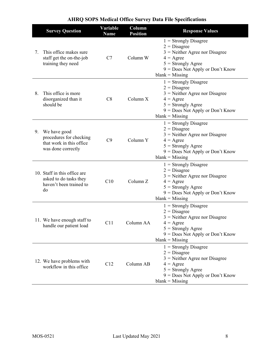|    | <b>Survey Question</b>                                                                       | Variable<br><b>Name</b> | Column<br><b>Position</b> | <b>Response Values</b>                                                                                                                                                                 |
|----|----------------------------------------------------------------------------------------------|-------------------------|---------------------------|----------------------------------------------------------------------------------------------------------------------------------------------------------------------------------------|
| 7. | This office makes sure<br>staff get the on-the-job<br>training they need                     | C7                      | Column W                  | $1 =$ Strongly Disagree<br>$2$ = Disagree<br>$3$ = Neither Agree nor Disagree<br>$4 = \text{Agree}$<br>$5 =$ Strongly Agree<br>9 = Does Not Apply or Don't Know<br>$blank = Missing$   |
| 8. | This office is more<br>disorganized than it<br>should be                                     | C8                      | Column X                  | $1 =$ Strongly Disagree<br>$2 = Disagree$<br>$3$ = Neither Agree nor Disagree<br>$4 = \text{Agree}$<br>$5 =$ Strongly Agree<br>9 = Does Not Apply or Don't Know<br>$blank = Missing$   |
|    | 9. We have good<br>procedures for checking<br>that work in this office<br>was done correctly | C9                      | Column Y                  | $1 =$ Strongly Disagree<br>$2 = Disagree$<br>$3$ = Neither Agree nor Disagree<br>$4 = \text{Agree}$<br>$5 =$ Strongly Agree<br>9 = Does Not Apply or Don't Know<br>$blank = Missing$   |
|    | 10. Staff in this office are<br>asked to do tasks they<br>haven't been trained to<br>do      | C10                     | Column Z                  | $1 =$ Strongly Disagree<br>$2$ = Disagree<br>$3$ = Neither Agree nor Disagree<br>$4 = \text{Agree}$<br>$5 =$ Strongly Agree<br>9 = Does Not Apply or Don't Know<br>$blank = Missing$   |
|    | 11. We have enough staff to<br>handle our patient load                                       | C11                     | Column AA                 | $1 =$ Strongly Disagree<br>$2 = Disagree$<br>$3$ = Neither Agree nor Disagree<br>$4 = \text{Agree}$<br>$5 =$ Strongly Agree<br>$9 = Does Not Apply or Don't Know$<br>$blank = Missing$ |
|    | 12. We have problems with<br>workflow in this office                                         | C12                     | Column AB                 | $1 =$ Strongly Disagree<br>$2 = Disagree$<br>$3$ = Neither Agree nor Disagree<br>$4 = \text{Agree}$<br>$5 =$ Strongly Agree<br>$9 = Does Not Apply or Don't Know$<br>$blank = Missing$ |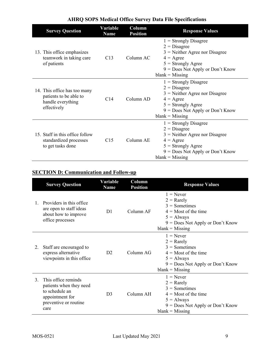| <b>Survey Question</b>                                                                     | Variable<br><b>Name</b> | Column<br><b>Position</b> | <b>Response Values</b>                                                                                                                                                                 |
|--------------------------------------------------------------------------------------------|-------------------------|---------------------------|----------------------------------------------------------------------------------------------------------------------------------------------------------------------------------------|
| 13. This office emphasizes<br>teamwork in taking care<br>of patients                       | C13                     | Column AC                 | $1 =$ Strongly Disagree<br>$2 = Disagree$<br>$3$ = Neither Agree nor Disagree<br>$4 = \text{Agree}$<br>$5 =$ Strongly Agree<br>$9 = Does Not Apply or Don't Know$<br>$blank = Missing$ |
| 14. This office has too many<br>patients to be able to<br>handle everything<br>effectively | C <sub>14</sub>         | Column AD                 | $1 =$ Strongly Disagree<br>$2 = Disagree$<br>$3$ = Neither Agree nor Disagree<br>$4 = \text{Agree}$<br>$5 =$ Strongly Agree<br>$9 = Does Not Apply or Don't Know$<br>$blank = Missing$ |
| 15. Staff in this office follow<br>standardized processes<br>to get tasks done             | C <sub>15</sub>         | Column AE                 | $1 =$ Strongly Disagree<br>$2 = Disagree$<br>$3$ = Neither Agree nor Disagree<br>$4 = \text{Agree}$<br>$5 =$ Strongly Agree<br>$9 = Does Not Apply or Don't Know$<br>$blank = Missing$ |

## **SECTION D: Communication and Follow-up**

|                | <b>Survey Question</b>                                                                                               | Variable<br><b>Name</b> | Column<br><b>Position</b> | <b>Response Values</b>                                                                                                                              |
|----------------|----------------------------------------------------------------------------------------------------------------------|-------------------------|---------------------------|-----------------------------------------------------------------------------------------------------------------------------------------------------|
| $\mathbf{1}$ . | Providers in this office.<br>are open to staff ideas<br>about how to improve<br>office processes                     | D <sub>1</sub>          | Column AF                 | $1 =$ Never<br>$2 =$ Rarely<br>$3 =$ Sometimes<br>$4 =$ Most of the time<br>$5 =$ Always<br>$9 = Does Not Apply or Don't Know$<br>$blank = Missing$ |
| 2.             | Staff are encouraged to<br>express alternative<br>viewpoints in this office                                          | D <sub>2</sub>          | Column AG                 | $1 =$ Never<br>$2 =$ Rarely<br>$3 =$ Sometimes<br>$4 =$ Most of the time<br>$5 =$ Always<br>$9 = Does Not Apply or Don't Know$<br>$blank = Missing$ |
| 3.             | This office reminds<br>patients when they need<br>to schedule an<br>appointment for<br>preventive or routine<br>care | D <sub>3</sub>          | Column AH                 | $1 =$ Never<br>$2 =$ Rarely<br>$3 =$ Sometimes<br>$4 =$ Most of the time<br>$5 =$ Always<br>$9 = Does Not Apply or Don't Know$<br>$blank = Missing$ |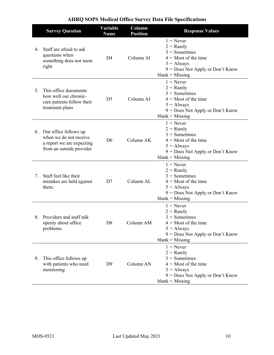|    | <b>Survey Question</b>                                                                                   | Variable<br><b>Name</b> | Column<br><b>Position</b> | <b>Response Values</b>                                                                                                                              |
|----|----------------------------------------------------------------------------------------------------------|-------------------------|---------------------------|-----------------------------------------------------------------------------------------------------------------------------------------------------|
| 4. | Staff are afraid to ask<br>questions when<br>something does not seem<br>right                            | D <sub>4</sub>          | Column AI                 | $1 =$ Never<br>$2 =$ Rarely<br>$3 =$ Sometimes<br>$4 =$ Most of the time<br>$5 =$ Always<br>9 = Does Not Apply or Don't Know<br>$blank = Missing$   |
| 5. | This office documents<br>how well our chronic-<br>care patients follow their<br>treatment plans          | D <sub>5</sub>          | Column AJ                 | $1 =$ Never<br>$2 =$ Rarely<br>$3 =$ Sometimes<br>$4 =$ Most of the time<br>$5 =$ Always<br>9 = Does Not Apply or Don't Know<br>$blank = Missing$   |
| 6. | Our office follows up<br>when we do not receive<br>a report we are expecting<br>from an outside provider | D <sub>6</sub>          | Column AK                 | $1 =$ Never<br>$2 =$ Rarely<br>$3 =$ Sometimes<br>$4 =$ Most of the time<br>$5 =$ Always<br>$9 = Does Not Apply or Don't Know$<br>$blank = Missing$ |
| 7. | Staff feel like their<br>mistakes are held against<br>them.                                              | D7                      | Column AL                 | $1 =$ Never<br>$2 =$ Rarely<br>$3 =$ Sometimes<br>$4 =$ Most of the time<br>$5 =$ Always<br>9 = Does Not Apply or Don't Know<br>$blank = Missing$   |
| 8. | Providers and staff talk<br>openly about office<br>problems.                                             | D <sub>8</sub>          | Column AM                 | $1 =$ Never<br>$2 =$ Rarely<br>$3 =$ Sometimes<br>$4 =$ Most of the time<br>$5 =$ Always<br>9 = Does Not Apply or Don't Know<br>$blank = Missing$   |
| 9. | This office follows up<br>with patients who need<br>monitoring                                           | D <sub>9</sub>          | Column AN                 | $1 =$ Never<br>$2 =$ Rarely<br>$3 =$ Sometimes<br>$4 =$ Most of the time<br>$5 =$ Always<br>9 = Does Not Apply or Don't Know<br>$blank = Missing$   |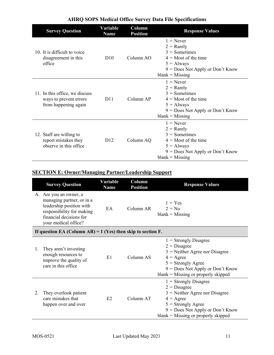| <b>Survey Question</b>                                                           | <b>Variable</b><br><b>Name</b> | Column<br><b>Position</b> | <b>Response Values</b>                                                                                                                              |
|----------------------------------------------------------------------------------|--------------------------------|---------------------------|-----------------------------------------------------------------------------------------------------------------------------------------------------|
| 10. It is difficult to voice<br>disagreement in this<br>office                   | D10                            | Column AO                 | $1 =$ Never<br>$2 =$ Rarely<br>$3 =$ Sometimes<br>$4 =$ Most of the time<br>$5 =$ Always<br>$9 = Does Not Apply or Don't Know$<br>$blank = Missing$ |
| 11. In this office, we discuss<br>ways to prevent errors<br>from happening again | D <sub>11</sub>                | Column AP                 | $1 =$ Never<br>$2 =$ Rarely<br>$3 =$ Sometimes<br>$4 =$ Most of the time<br>$5 =$ Always<br>$9 = Does Not Apply or Don't Know$<br>$blank = Missing$ |
| 12. Staff are willing to<br>report mistakes they<br>observe in this office       | D <sub>12</sub>                | Column AQ                 | $1 =$ Never<br>$2 =$ Rarely<br>$3 =$ Sometimes<br>$4 =$ Most of the time<br>$5 =$ Always<br>$9 = Does Not Apply or Don't Know$<br>$blank = Missing$ |

## **SECTION E: Owner/Managing Partner/Leadership Support**

|    | <b>Survey Question</b>                                                                                                                                          | Variable<br><b>Name</b> | Column<br><b>Position</b> | <b>Response Values</b>                                                                                                                                                                                     |  |  |  |
|----|-----------------------------------------------------------------------------------------------------------------------------------------------------------------|-------------------------|---------------------------|------------------------------------------------------------------------------------------------------------------------------------------------------------------------------------------------------------|--|--|--|
|    | A. Are you an owner, a<br>managing partner, or in a<br>leadership position with<br>responsibility for making<br>financial decisions for<br>your medical office? | EA                      | Column AR                 | $1 = Yes$<br>$2 = No$<br>$blank = Missing$                                                                                                                                                                 |  |  |  |
|    | If question EA (Column AR) = $1$ (Yes) then skip to section F.                                                                                                  |                         |                           |                                                                                                                                                                                                            |  |  |  |
| 1. | They aren't investing<br>enough resources to<br>improve the quality of<br>care in this office                                                                   | E1                      | Column AS                 | $1 =$ Strongly Disagree<br>$2 = Disagree$<br>$3$ = Neither Agree nor Disagree<br>$4 = \text{Agree}$<br>$5 =$ Strongly Agree<br>$9 = Does Not Apply or Don't Know$<br>$blank = Missing$ or properly skipped |  |  |  |
| 2. | They overlook patient<br>care mistakes that<br>happen over and over                                                                                             | E <sub>2</sub>          | Column AT                 | $1 =$ Strongly Disagree<br>$2 = Disagree$<br>$3$ = Neither Agree nor Disagree<br>$4 = \text{Agree}$<br>$5 =$ Strongly Agree<br>9 = Does Not Apply or Don't Know<br>$blank = Missing$ or properly skipped   |  |  |  |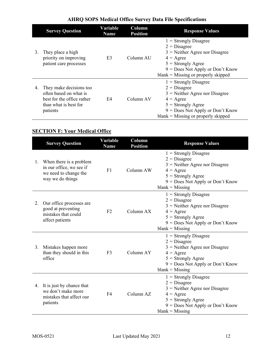|    | <b>Survey Question</b>                                                                                                     | Variable<br><b>Name</b> | Column<br><b>Position</b> | <b>Response Values</b>                                                                                                                                                                                     |
|----|----------------------------------------------------------------------------------------------------------------------------|-------------------------|---------------------------|------------------------------------------------------------------------------------------------------------------------------------------------------------------------------------------------------------|
| 3. | They place a high<br>priority on improving<br>patient care processes                                                       | E <sub>3</sub>          | Column AU                 | $1 =$ Strongly Disagree<br>$2 = Disagree$<br>$3$ = Neither Agree nor Disagree<br>$4 = \text{Agree}$<br>$5 =$ Strongly Agree<br>$9 = Does Not Apply or Don't Know$<br>$blank = Missing$ or properly skipped |
| 4. | They make decisions too<br>often based on what is<br>best for the office rather<br>E4<br>than what is best for<br>patients |                         | Column AV                 | $1 =$ Strongly Disagree<br>$2 = Disagree$<br>$3$ = Neither Agree nor Disagree<br>$4 = \text{Agree}$<br>$5 =$ Strongly Agree<br>$9 = Does Not Apply or Don't Know$<br>$blank = Missing$ or properly skipped |

## **SECTION F: Your Medical Office**

|    | <b>Survey Question</b>                                                                           | Variable<br><b>Name</b> | Column<br><b>Position</b> | <b>Response Values</b>                                                                                                                                                                 |  |  |
|----|--------------------------------------------------------------------------------------------------|-------------------------|---------------------------|----------------------------------------------------------------------------------------------------------------------------------------------------------------------------------------|--|--|
| 1. | When there is a problem<br>in our office, we see if<br>we need to change the<br>way we do things | F1                      | Column AW                 | $1 =$ Strongly Disagree<br>$2 = Disagree$<br>$3$ = Neither Agree nor Disagree<br>$4 = \text{Agree}$<br>$5 =$ Strongly Agree<br>9 = Does Not Apply or Don't Know<br>$blank = Missing$   |  |  |
| 2. | Our office processes are<br>good at preventing<br>mistakes that could<br>affect patients         | F2                      | Column AX                 | $1 =$ Strongly Disagree<br>$2 = Disagree$<br>$3$ = Neither Agree nor Disagree<br>$4 = \text{Agree}$<br>$5 =$ Strongly Agree<br>9 = Does Not Apply or Don't Know<br>$blank = Missing$   |  |  |
| 3. | Mistakes happen more<br>than they should in this<br>office                                       | F <sub>3</sub>          | Column AY                 | $1 =$ Strongly Disagree<br>$2 = Disagree$<br>$3$ = Neither Agree nor Disagree<br>$4 = \text{Agree}$<br>$5 =$ Strongly Agree<br>$9 = Does Not Apply or Don't Know$<br>$blank = Missing$ |  |  |
|    | 4. It is just by chance that<br>we don't make more<br>mistakes that affect our<br>patients       | F <sub>4</sub>          |                           | $1 =$ Strongly Disagree<br>$2 = Disagree$<br>$3$ = Neither Agree nor Disagree<br>$4 = \text{Agree}$<br>$5 =$ Strongly Agree<br>9 = Does Not Apply or Don't Know<br>$blank = Missing$   |  |  |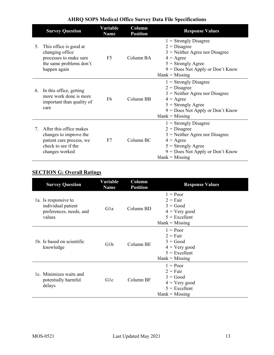|    | <b>Survey Question</b>                                                                                                       | Variable<br><b>Name</b> | Column<br><b>Position</b> | <b>Response Values</b>                                                                                                                                                                 |
|----|------------------------------------------------------------------------------------------------------------------------------|-------------------------|---------------------------|----------------------------------------------------------------------------------------------------------------------------------------------------------------------------------------|
| 5. | This office is good at<br>changing office<br>processes to make sure<br>the same problems don't<br>happen again               | F <sub>5</sub>          | Column BA                 | $1 =$ Strongly Disagree<br>$2 = Disagree$<br>$3$ = Neither Agree nor Disagree<br>$4 = \text{Agree}$<br>$5 =$ Strongly Agree<br>$9 = Does Not Apply or Don't Know$<br>$blank = Missing$ |
| 6. | In this office, getting<br>more work done is more<br>important than quality of<br>care                                       | F <sub>6</sub>          | Column BB                 | $1 =$ Strongly Disagree<br>$2 = Disagree$<br>$3$ = Neither Agree nor Disagree<br>$4 = \text{Agree}$<br>$5 =$ Strongly Agree<br>$9 = Does Not Apply or Don't Know$<br>$blank = Missing$ |
| 7. | After this office makes<br>changes to improve the<br>patient care process, we<br>F7<br>check to see if the<br>changes worked |                         | Column BC                 | $1 =$ Strongly Disagree<br>$2 = Disagree$<br>$3$ = Neither Agree nor Disagree<br>$4 = \text{Agree}$<br>$5 =$ Strongly Agree<br>$9 = Does Not Apply or Don't Know$<br>$blank = Missing$ |

## **SECTION G: Overall Ratings**

| <b>Survey Question</b>                                                          | Variable<br>Column<br><b>Position</b><br><b>Name</b> |           | <b>Response Values</b>                                                                            |  |
|---------------------------------------------------------------------------------|------------------------------------------------------|-----------|---------------------------------------------------------------------------------------------------|--|
| 1a. Is responsive to<br>individual patient<br>preferences, needs, and<br>values | Gla                                                  | Column BD | $1 = Poor$<br>$2 = Fair$<br>$3 = Good$<br>$4 = Very good$<br>$5 =$ Excellent<br>$blank = Missing$ |  |
| 1b. Is based on scientific<br>knowledge                                         | G <sub>1</sub> b                                     | Column BE | $1 = Poor$<br>$2 = Fair$<br>$3 = Good$<br>$4 = Very good$<br>$5 =$ Excellent<br>$blank = Missing$ |  |
| 1c. Minimizes waits and<br>potentially harmful<br>delays                        | Glc                                                  | Column BF | $1 = Poor$<br>$2 = Fair$<br>$3 = Good$<br>$4 = Very good$<br>$5 =$ Excellent<br>$blank = Missing$ |  |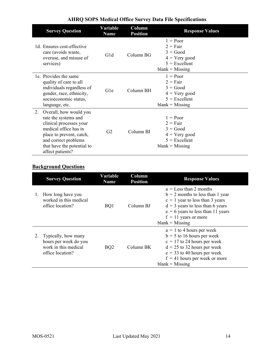|    | <b>Survey Question</b>                                                                                                                                                                                   | Variable<br>Name | Column<br><b>Position</b> | <b>Response Values</b>                                                                                   |  |  |
|----|----------------------------------------------------------------------------------------------------------------------------------------------------------------------------------------------------------|------------------|---------------------------|----------------------------------------------------------------------------------------------------------|--|--|
|    | 1d. Ensures cost-effective<br>care (avoids waste,<br>overuse, and misuse of<br>services)                                                                                                                 | G1d              | Column BG                 | $1 = Poor$<br>$2 = \text{Fair}$<br>$3 = Good$<br>$4 = Very good$<br>$5 =$ Excellent<br>$blank = Missing$ |  |  |
|    | 1e. Provides the same<br>quality of care to all<br>individuals regardless of<br>gender, race, ethnicity,<br>socioeconomic status,<br>language, etc.                                                      | Gle              | Column BH                 | $1 = Poor$<br>$2 = Fair$<br>$3 = Good$<br>$4 = V$ ery good<br>$5 =$ Excellent<br>$blank = Missing$       |  |  |
| 2. | Overall, how would you<br>rate the systems and<br>clinical processes your<br>medical office has in<br>place to prevent, catch,<br>and correct problems<br>that have the potential to<br>affect patients? | G <sub>2</sub>   | Column BI                 | $1 = Poor$<br>$2 = Fair$<br>$3 = Good$<br>$4 = Very good$<br>$5 =$ Excellent<br>$blank = Missing$        |  |  |

## **Background Questions**

|    | <b>Survey Question</b>                                                                   | Variable<br>Column<br><b>Name</b><br><b>Position</b> |           | <b>Response Values</b>                                                                                                                                                                                                          |  |  |
|----|------------------------------------------------------------------------------------------|------------------------------------------------------|-----------|---------------------------------------------------------------------------------------------------------------------------------------------------------------------------------------------------------------------------------|--|--|
| 1. | How long have you<br>worked in this medical<br>office location?                          | BQ1                                                  | Column BJ | $a =$ Less than 2 months<br>$b = 2$ months to less than 1 year<br>$c = 1$ year to less than 3 years<br>$d = 3$ years to less than 6 years<br>$e = 6$ years to less than 11 years<br>$f = 11$ years or more<br>$blank = Missing$ |  |  |
|    | Typically, how many<br>hours per week do you<br>work in this medical<br>office location? | BQ <sub>2</sub>                                      | Column BK | $a = 1$ to 4 hours per week<br>$b = 5$ to 16 hours per week<br>$c = 17$ to 24 hours per week<br>$d = 25$ to 32 hours per week<br>$e = 33$ to 40 hours per week<br>$f = 41$ hours per week or more<br>$blank = Missing$          |  |  |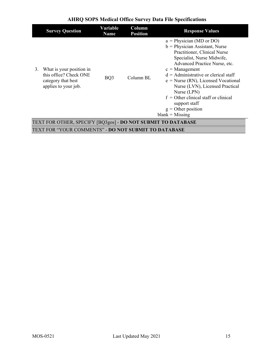|    | <b>Survey Question</b>                                                                           | Variable<br><b>Name</b> | Column<br><b>Position</b> | <b>Response Values</b>                                                                                                                                                                                                                                                                                                                                                                                                          |  |  |
|----|--------------------------------------------------------------------------------------------------|-------------------------|---------------------------|---------------------------------------------------------------------------------------------------------------------------------------------------------------------------------------------------------------------------------------------------------------------------------------------------------------------------------------------------------------------------------------------------------------------------------|--|--|
| 3. | What is your position in<br>this office? Check ONE<br>category that best<br>applies to your job. | BQ3                     | Column BL                 | $a = Physician (MD or DO)$<br>$b = Physician Assistant, Nurse$<br>Practitioner, Clinical Nurse<br>Specialist, Nurse Midwife,<br>Advanced Practice Nurse, etc.<br>$c =$ Management<br>$d =$ Administrative or clerical staff<br>$e = Nurse (RN)$ , Licensed Vocational<br>Nurse (LVN), Licensed Practical<br>Nurse (LPN)<br>$f =$ Other clinical staff or clinical<br>support staff<br>$g =$ Other position<br>$blank = Missing$ |  |  |
|    | TEXT FOR OTHER, SPECIFY [BQ3gos] - DO NOT SUBMIT TO DATABASE                                     |                         |                           |                                                                                                                                                                                                                                                                                                                                                                                                                                 |  |  |
|    | TEXT FOR "YOUR COMMENTS" - <b>DO NOT SUBMIT TO DATABASE</b>                                      |                         |                           |                                                                                                                                                                                                                                                                                                                                                                                                                                 |  |  |
|    |                                                                                                  |                         |                           |                                                                                                                                                                                                                                                                                                                                                                                                                                 |  |  |